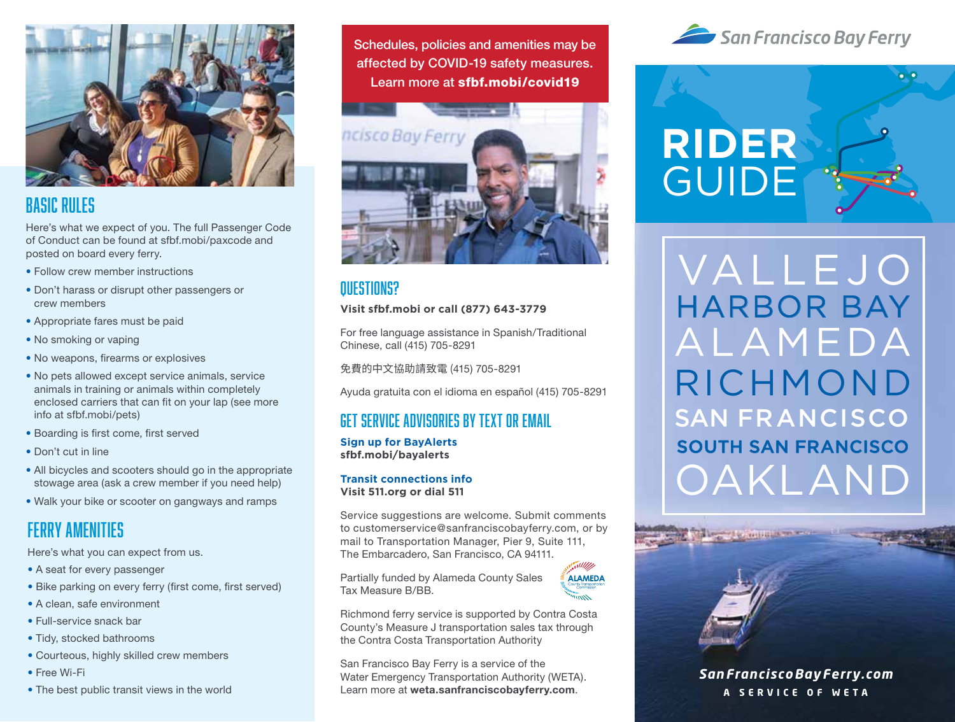

## Basic Rules

Here's what we expect of you. The full Passenger Code of Conduct can be found at sfbf.mobi/paxcode and posted on board every ferry.

- Follow crew member instructions
- Don't harass or disrupt other passengers or crew members
- Appropriate fares must be paid
- No smoking or vaping
- No weapons, firearms or explosives
- No pets allowed except service animals, service animals in training or animals within completely enclosed carriers that can fit on your lap (see more info at sfbf.mobi/pets)
- Boarding is first come, first served
- Don't cut in line
- All bicycles and scooters should go in the appropriate stowage area (ask a crew member if you need help)
- Walk your bike or scooter on gangways and ramps

## Ferry Amenities

Here's what you can expect from us.

- A seat for every passenger
- Bike parking on every ferry (first come, first served)
- A clean, safe environment
- Full-service snack bar
- Tidy, stocked bathrooms
- Courteous, highly skilled crew members
- Free Wi-Fi
- The best public transit views in the world

Schedules, policies and amenities may be affected by COVID-19 safety measures. Learn more at sfbf.mobi/covid19



## Questions?

#### **Visit sfbf.mobi or call (877) 643-3779**

For free language assistance in Spanish/Traditional Chinese, call (415) 705-8291

免費的中文協助請致電 (415) 705-8291

Ayuda gratuita con el idioma en español (415) 705-8291

## Get service advisories by text or email

**Sign up for BayAlerts sfbf.mobi/bayalerts**

#### **Transit connections info Visit 511.org or dial 511**

Service suggestions are welcome. Submit comments to customerservice@sanfranciscobayferry.com, or by mail to Transportation Manager, Pier 9, Suite 111, The Embarcadero, San Francisco, CA 94111.

Partially funded by Alameda County Sales Tax Measure B/BB.



Richmond ferry service is supported by Contra Costa County's Measure J transportation sales tax through the Contra Costa Transportation Authority

San Francisco Bay Ferry is a service of the Water Emergency Transportation Authority (WETA). Learn more at **weta.sanfranciscobayferry.com**.





**RIDER** GUIDE VALLEJO ALAMEDA OS<br>O *San FranciscoBay Ferry.com* **A SERVICE OF WE T A** SAN FRANCISCO VALLEJO RICHMOND SOUTH SAN FRANCISCO OAKLAND HARBOR BAY